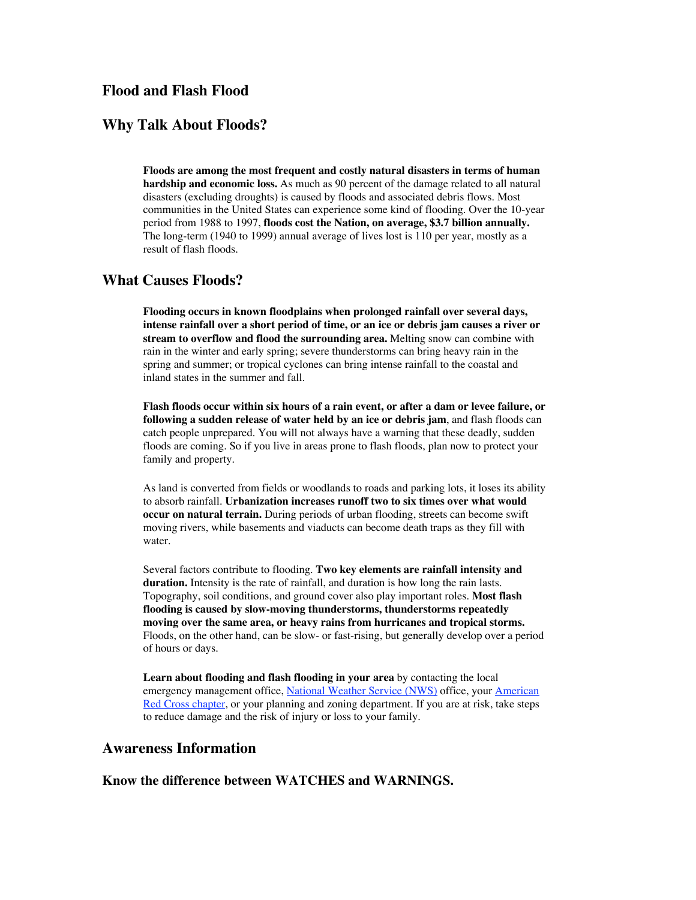## **Flood and Flash Flood**

## **Why Talk About Floods?**

**Floods are among the most frequent and costly natural disasters in terms of human hardship and economic loss.** As much as 90 percent of the damage related to all natural disasters (excluding droughts) is caused by floods and associated debris flows. Most communities in the United States can experience some kind of flooding. Over the 10-year period from 1988 to 1997, **floods cost the Nation, on average, \$3.7 billion annually.** The long-term (1940 to 1999) annual average of lives lost is 110 per year, mostly as a result of flash floods.

## **What Causes Floods?**

**Flooding occurs in known floodplains when prolonged rainfall over several days, intense rainfall over a short period of time, or an ice or debris jam causes a river or stream to overflow and flood the surrounding area.** Melting snow can combine with rain in the winter and early spring; severe thunderstorms can bring heavy rain in the spring and summer; or tropical cyclones can bring intense rainfall to the coastal and inland states in the summer and fall.

**Flash floods occur within six hours of a rain event, or after a dam or levee failure, or following a sudden release of water held by an ice or debris jam**, and flash floods can catch people unprepared. You will not always have a warning that these deadly, sudden floods are coming. So if you live in areas prone to flash floods, plan now to protect your family and property.

As land is converted from fields or woodlands to roads and parking lots, it loses its ability to absorb rainfall. **Urbanization increases runoff two to six times over what would occur on natural terrain.** During periods of urban flooding, streets can become swift moving rivers, while basements and viaducts can become death traps as they fill with water.

Several factors contribute to flooding. **Two key elements are rainfall intensity and duration.** Intensity is the rate of rainfall, and duration is how long the rain lasts. Topography, soil conditions, and ground cover also play important roles. **Most flash flooding is caused by slow-moving thunderstorms, thunderstorms repeatedly moving over the same area, or heavy rains from hurricanes and tropical storms.** Floods, on the other hand, can be slow- or fast-rising, but generally develop over a period of hours or days.

**Learn about flooding and flash flooding in your area** by contacting the local emergency management office, National Weather Service (NWS) office, your American Red Cross chapter, or your planning and zoning department. If you are at risk, take steps to reduce damage and the risk of injury or loss to your family.

## **Awareness Information**

#### **Know the difference between WATCHES and WARNINGS.**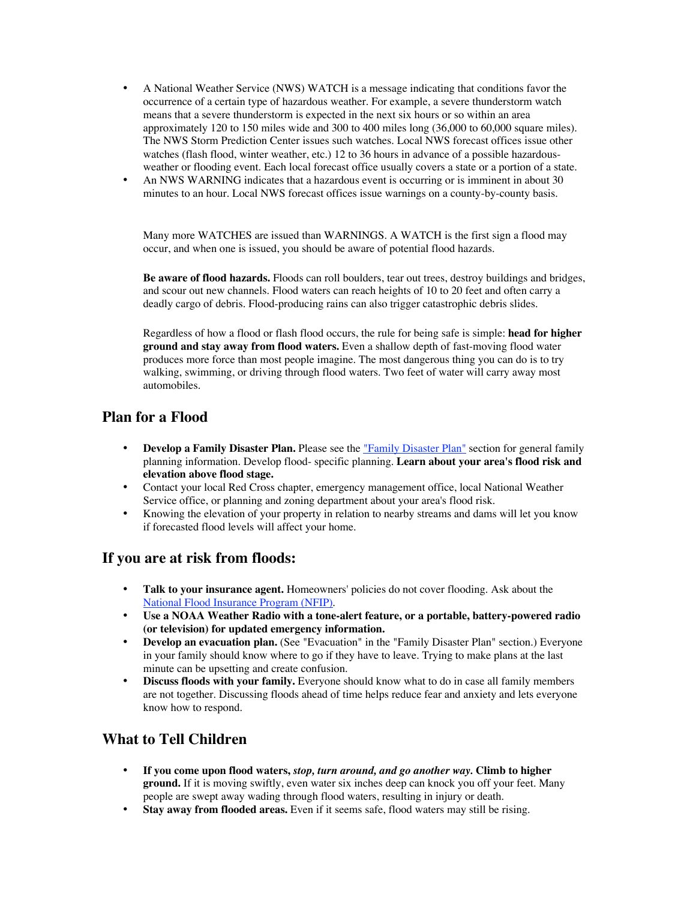A National Weather Service (NWS) WATCH is a message indicating that conditions favor the occurrence of a certain type of hazardous weather. For example, a severe thunderstorm watch means that a severe thunderstorm is expected in the next six hours or so within an area approximately 120 to 150 miles wide and 300 to 400 miles long (36,000 to 60,000 square miles). The NWS Storm Prediction Center issues such watches. Local NWS forecast offices issue other watches (flash flood, winter weather, etc.) 12 to 36 hours in advance of a possible hazardousweather or flooding event. Each local forecast office usually covers a state or a portion of a state. An NWS WARNING indicates that a hazardous event is occurring or is imminent in about 30 minutes to an hour. Local NWS forecast offices issue warnings on a county-by-county basis.

Many more WATCHES are issued than WARNINGS. A WATCH is the first sign a flood may occur, and when one is issued, you should be aware of potential flood hazards.

**Be aware of flood hazards.** Floods can roll boulders, tear out trees, destroy buildings and bridges, and scour out new channels. Flood waters can reach heights of 10 to 20 feet and often carry a deadly cargo of debris. Flood-producing rains can also trigger catastrophic debris slides.

Regardless of how a flood or flash flood occurs, the rule for being safe is simple: **head for higher ground and stay away from flood waters.** Even a shallow depth of fast-moving flood water produces more force than most people imagine. The most dangerous thing you can do is to try walking, swimming, or driving through flood waters. Two feet of water will carry away most automobiles.

## **Plan for a Flood**

**Develop a Family Disaster Plan.** Please see the "Family Disaster Plan" section for general family planning information. Develop flood- specific planning. **Learn about your area's flood risk and elevation above flood stage.**

Contact your local Red Cross chapter, emergency management office, local National Weather Service office, or planning and zoning department about your area's flood risk.

Knowing the elevation of your property in relation to nearby streams and dams will let you know if forecasted flood levels will affect your home.

#### **If you are at risk from floods:**

**Talk to your insurance agent.** Homeowners' policies do not cover flooding. Ask about the National Flood Insurance Program (NFIP).

**Use a NOAA Weather Radio with a tone-alert feature, or a portable, battery-powered radio (or television) for updated emergency information.**

**Develop an evacuation plan.** (See "Evacuation" in the "Family Disaster Plan" section.) Everyone in your family should know where to go if they have to leave. Trying to make plans at the last minute can be upsetting and create confusion.

**Discuss floods with your family.** Everyone should know what to do in case all family members are not together. Discussing floods ahead of time helps reduce fear and anxiety and lets everyone know how to respond.

## **What to Tell Children**

**If you come upon flood waters,** *stop, turn around, and go another way.* **Climb to higher ground.** If it is moving swiftly, even water six inches deep can knock you off your feet. Many people are swept away wading through flood waters, resulting in injury or death. **Stay away from flooded areas.** Even if it seems safe, flood waters may still be rising.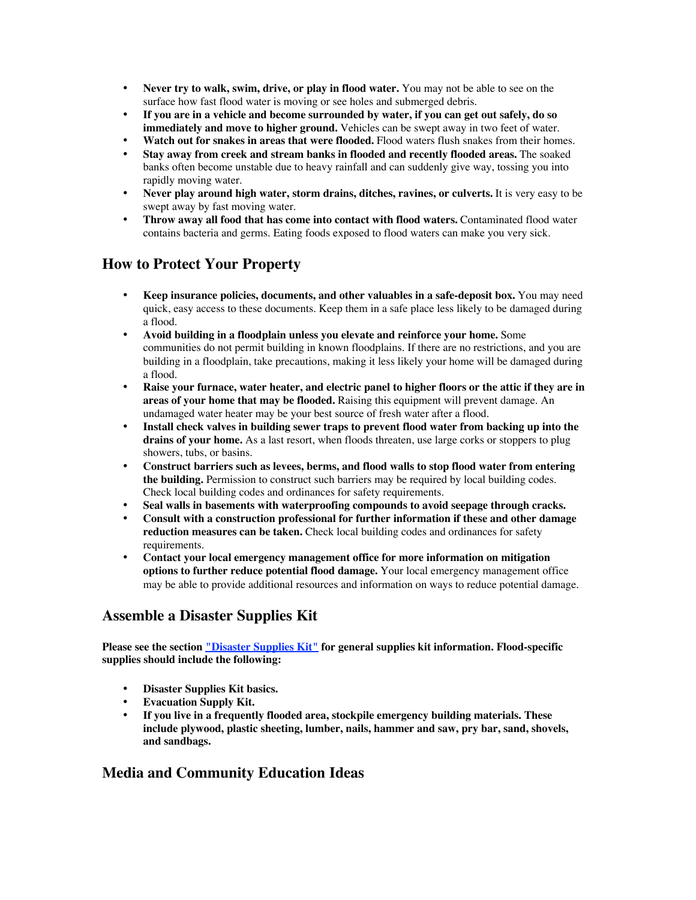**Never try to walk, swim, drive, or play in flood water.** You may not be able to see on the surface how fast flood water is moving or see holes and submerged debris.

**If you are in a vehicle and become surrounded by water, if you can get out safely, do so immediately and move to higher ground.** Vehicles can be swept away in two feet of water. **Watch out for snakes in areas that were flooded.** Flood waters flush snakes from their homes. **Stay away from creek and stream banks in flooded and recently flooded areas.** The soaked banks often become unstable due to heavy rainfall and can suddenly give way, tossing you into rapidly moving water.

**Never play around high water, storm drains, ditches, ravines, or culverts.** It is very easy to be swept away by fast moving water.

**Throw away all food that has come into contact with flood waters.** Contaminated flood water contains bacteria and germs. Eating foods exposed to flood waters can make you very sick.

#### **How to Protect Your Property**

**Keep insurance policies, documents, and other valuables in a safe-deposit box.** You may need quick, easy access to these documents. Keep them in a safe place less likely to be damaged during a flood.

**Avoid building in a floodplain unless you elevate and reinforce your home.** Some communities do not permit building in known floodplains. If there are no restrictions, and you are building in a floodplain, take precautions, making it less likely your home will be damaged during a flood.

**Raise your furnace, water heater, and electric panel to higher floors or the attic if they are in areas of your home that may be flooded.** Raising this equipment will prevent damage. An undamaged water heater may be your best source of fresh water after a flood.

**Install check valves in building sewer traps to prevent flood water from backing up into the drains of your home.** As a last resort, when floods threaten, use large corks or stoppers to plug showers, tubs, or basins.

**Construct barriers such as levees, berms, and flood walls to stop flood water from entering the building.** Permission to construct such barriers may be required by local building codes. Check local building codes and ordinances for safety requirements.

**Seal walls in basements with waterproofing compounds to avoid seepage through cracks. Consult with a construction professional for further information if these and other damage reduction measures can be taken.** Check local building codes and ordinances for safety requirements.

**Contact your local emergency management office for more information on mitigation options to further reduce potential flood damage.** Your local emergency management office may be able to provide additional resources and information on ways to reduce potential damage.

#### **Assemble a Disaster Supplies Kit**

**Please see the section "Disaster Supplies Kit" for general supplies kit information. Flood-specific supplies should include the following:**

**Disaster Supplies Kit basics. Evacuation Supply Kit. If you live in a frequently flooded area, stockpile emergency building materials. These include plywood, plastic sheeting, lumber, nails, hammer and saw, pry bar, sand, shovels, and sandbags.**

#### **Media and Community Education Ideas**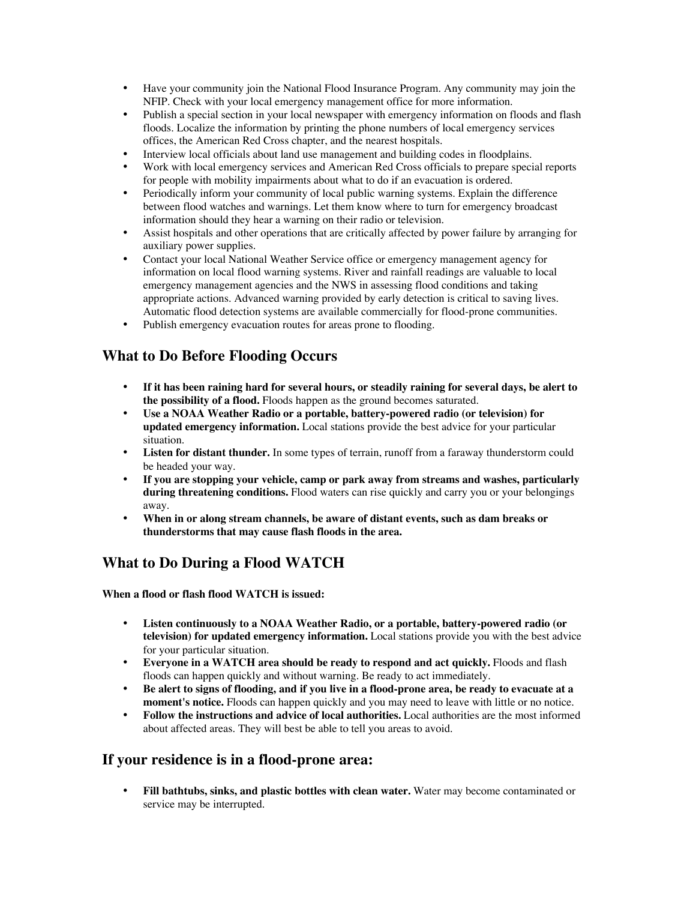Have your community join the National Flood Insurance Program. Any community may join the NFIP. Check with your local emergency management office for more information. Publish a special section in your local newspaper with emergency information on floods and flash floods. Localize the information by printing the phone numbers of local emergency services offices, the American Red Cross chapter, and the nearest hospitals.

Interview local officials about land use management and building codes in floodplains. Work with local emergency services and American Red Cross officials to prepare special reports for people with mobility impairments about what to do if an evacuation is ordered.

Periodically inform your community of local public warning systems. Explain the difference between flood watches and warnings. Let them know where to turn for emergency broadcast information should they hear a warning on their radio or television.

Assist hospitals and other operations that are critically affected by power failure by arranging for auxiliary power supplies.

Contact your local National Weather Service office or emergency management agency for information on local flood warning systems. River and rainfall readings are valuable to local emergency management agencies and the NWS in assessing flood conditions and taking appropriate actions. Advanced warning provided by early detection is critical to saving lives. Automatic flood detection systems are available commercially for flood-prone communities. Publish emergency evacuation routes for areas prone to flooding.

#### **What to Do Before Flooding Occurs**

**If it has been raining hard for several hours, or steadily raining for several days, be alert to the possibility of a flood.** Floods happen as the ground becomes saturated.

**Use a NOAA Weather Radio or a portable, battery-powered radio (or television) for updated emergency information.** Local stations provide the best advice for your particular situation.

**Listen for distant thunder.** In some types of terrain, runoff from a faraway thunderstorm could be headed your way.

**If you are stopping your vehicle, camp or park away from streams and washes, particularly during threatening conditions.** Flood waters can rise quickly and carry you or your belongings away.

**When in or along stream channels, be aware of distant events, such as dam breaks or thunderstorms that may cause flash floods in the area.**

#### **What to Do During a Flood WATCH**

**When a flood or flash flood WATCH is issued:**

**Listen continuously to a NOAA Weather Radio, or a portable, battery-powered radio (or television) for updated emergency information.** Local stations provide you with the best advice for your particular situation.

**Everyone in a WATCH area should be ready to respond and act quickly.** Floods and flash floods can happen quickly and without warning. Be ready to act immediately.

**Be alert to signs of flooding, and if you live in a flood-prone area, be ready to evacuate at a moment's notice.** Floods can happen quickly and you may need to leave with little or no notice. **Follow the instructions and advice of local authorities.** Local authorities are the most informed about affected areas. They will best be able to tell you areas to avoid.

#### **If your residence is in a flood-prone area:**

**Fill bathtubs, sinks, and plastic bottles with clean water.** Water may become contaminated or service may be interrupted.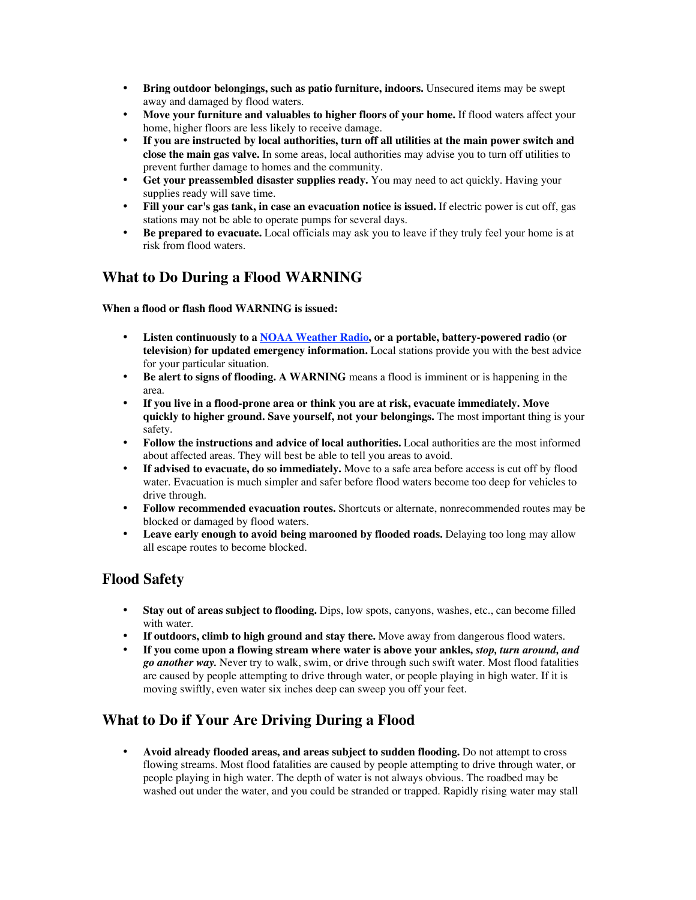**Bring outdoor belongings, such as patio furniture, indoors.** Unsecured items may be swept away and damaged by flood waters.

**Move your furniture and valuables to higher floors of your home.** If flood waters affect your home, higher floors are less likely to receive damage.

**If you are instructed by local authorities, turn off all utilities at the main power switch and close the main gas valve.** In some areas, local authorities may advise you to turn off utilities to prevent further damage to homes and the community.

**Get your preassembled disaster supplies ready.** You may need to act quickly. Having your supplies ready will save time.

**Fill your car's gas tank, in case an evacuation notice is issued.** If electric power is cut off, gas stations may not be able to operate pumps for several days.

**Be prepared to evacuate.** Local officials may ask you to leave if they truly feel your home is at risk from flood waters.

## **What to Do During a Flood WARNING**

#### **When a flood or flash flood WARNING is issued:**

**Listen continuously to a NOAA Weather Radio, or a portable, battery-powered radio (or television) for updated emergency information.** Local stations provide you with the best advice for your particular situation.

**Be alert to signs of flooding. A WARNING** means a flood is imminent or is happening in the area.

**If you live in a flood-prone area or think you are at risk, evacuate immediately. Move quickly to higher ground. Save yourself, not your belongings.** The most important thing is your safety.

**Follow the instructions and advice of local authorities.** Local authorities are the most informed about affected areas. They will best be able to tell you areas to avoid.

**If advised to evacuate, do so immediately.** Move to a safe area before access is cut off by flood water. Evacuation is much simpler and safer before flood waters become too deep for vehicles to drive through.

**Follow recommended evacuation routes.** Shortcuts or alternate, nonrecommended routes may be blocked or damaged by flood waters.

**Leave early enough to avoid being marooned by flooded roads.** Delaying too long may allow all escape routes to become blocked.

#### **Flood Safety**

**Stay out of areas subject to flooding.** Dips, low spots, canyons, washes, etc., can become filled with water.

**If outdoors, climb to high ground and stay there.** Move away from dangerous flood waters. **If you come upon a flowing stream where water is above your ankles,** *stop, turn around, and go another way.* Never try to walk, swim, or drive through such swift water. Most flood fatalities are caused by people attempting to drive through water, or people playing in high water. If it is moving swiftly, even water six inches deep can sweep you off your feet.

#### **What to Do if Your Are Driving During a Flood**

**Avoid already flooded areas, and areas subject to sudden flooding.** Do not attempt to cross flowing streams. Most flood fatalities are caused by people attempting to drive through water, or people playing in high water. The depth of water is not always obvious. The roadbed may be washed out under the water, and you could be stranded or trapped. Rapidly rising water may stall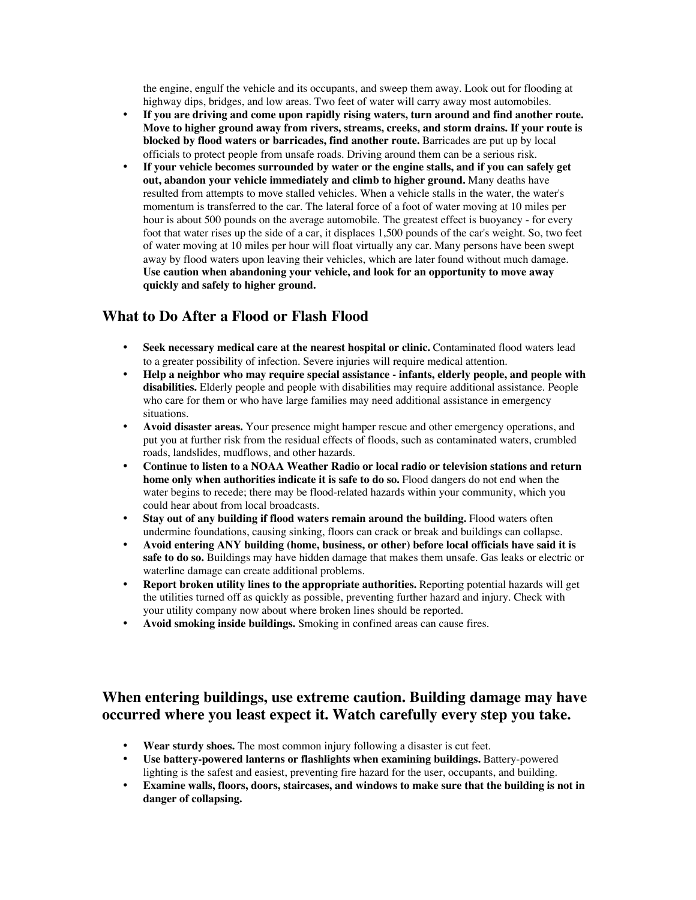the engine, engulf the vehicle and its occupants, and sweep them away. Look out for flooding at highway dips, bridges, and low areas. Two feet of water will carry away most automobiles. **If you are driving and come upon rapidly rising waters, turn around and find another route. Move to higher ground away from rivers, streams, creeks, and storm drains. If your route is blocked by flood waters or barricades, find another route.** Barricades are put up by local officials to protect people from unsafe roads. Driving around them can be a serious risk. **If your vehicle becomes surrounded by water or the engine stalls, and if you can safely get out, abandon your vehicle immediately and climb to higher ground.** Many deaths have resulted from attempts to move stalled vehicles. When a vehicle stalls in the water, the water's momentum is transferred to the car. The lateral force of a foot of water moving at 10 miles per hour is about 500 pounds on the average automobile. The greatest effect is buoyancy - for every foot that water rises up the side of a car, it displaces 1,500 pounds of the car's weight. So, two feet of water moving at 10 miles per hour will float virtually any car. Many persons have been swept away by flood waters upon leaving their vehicles, which are later found without much damage. **Use caution when abandoning your vehicle, and look for an opportunity to move away quickly and safely to higher ground.**

## **What to Do After a Flood or Flash Flood**

**Seek necessary medical care at the nearest hospital or clinic.** Contaminated flood waters lead to a greater possibility of infection. Severe injuries will require medical attention.

**Help a neighbor who may require special assistance - infants, elderly people, and people with disabilities.** Elderly people and people with disabilities may require additional assistance. People who care for them or who have large families may need additional assistance in emergency situations.

**Avoid disaster areas.** Your presence might hamper rescue and other emergency operations, and put you at further risk from the residual effects of floods, such as contaminated waters, crumbled roads, landslides, mudflows, and other hazards.

**Continue to listen to a NOAA Weather Radio or local radio or television stations and return home only when authorities indicate it is safe to do so.** Flood dangers do not end when the water begins to recede; there may be flood-related hazards within your community, which you could hear about from local broadcasts.

**Stay out of any building if flood waters remain around the building.** Flood waters often undermine foundations, causing sinking, floors can crack or break and buildings can collapse. **Avoid entering ANY building (home, business, or other) before local officials have said it is safe to do so.** Buildings may have hidden damage that makes them unsafe. Gas leaks or electric or waterline damage can create additional problems.

**Report broken utility lines to the appropriate authorities.** Reporting potential hazards will get the utilities turned off as quickly as possible, preventing further hazard and injury. Check with your utility company now about where broken lines should be reported.

**Avoid smoking inside buildings.** Smoking in confined areas can cause fires.

#### !

# **When entering buildings, use extreme caution. Building damage may have occurred where you least expect it. Watch carefully every step you take.**

**Wear sturdy shoes.** The most common injury following a disaster is cut feet. **Use battery-powered lanterns or flashlights when examining buildings.** Battery-powered lighting is the safest and easiest, preventing fire hazard for the user, occupants, and building. **Examine walls, floors, doors, staircases, and windows to make sure that the building is not in danger of collapsing.**